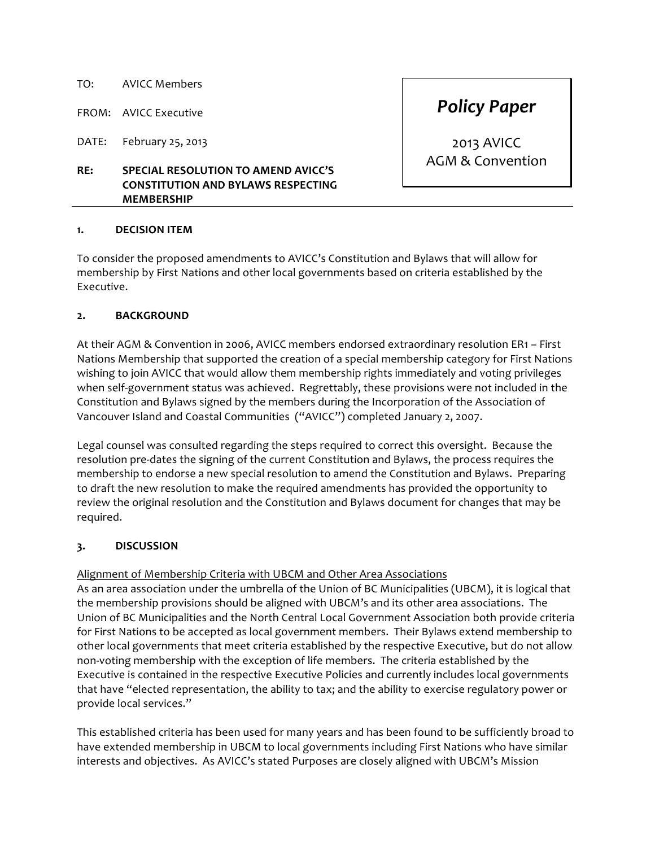## TO: AVICC Members

FROM: AVICC Executive

DATE: February 25, 2013

# **RE: SPECIAL RESOLUTION TO AMEND AVICC'S CONSTITUTION AND BYLAWS RESPECTING MEMBERSHIP**

2013 AVICC

AGM & Convention

*Policy Paper*

# **1. DECISION ITEM**

To consider the proposed amendments to AVICC's Constitution and Bylaws that will allow for membership by First Nations and other local governments based on criteria established by the Executive. 

# **2. BACKGROUND**

At their AGM & Convention in 2006, AVICC members endorsed extraordinary resolution ER1 – First Nations Membership that supported the creation of a special membership category for First Nations wishing to join AVICC that would allow them membership rights immediately and voting privileges when self-government status was achieved. Regrettably, these provisions were not included in the Constitution and Bylaws signed by the members during the Incorporation of the Association of Vancouver Island and Coastal Communities ("AVICC") completed January 2, 2007.

Legal counsel was consulted regarding the steps required to correct this oversight. Because the resolution pre-dates the signing of the current Constitution and Bylaws, the process requires the membership to endorse a new special resolution to amend the Constitution and Bylaws. Preparing to draft the new resolution to make the required amendments has provided the opportunity to review the original resolution and the Constitution and Bylaws document for changes that may be required.

# **3. DISCUSSION**

# Alignment of Membership Criteria with UBCM and Other Area Associations

As an area association under the umbrella of the Union of BC Municipalities (UBCM), it is logical that the membership provisions should be aligned with UBCM's and its other area associations. The Union of BC Municipalities and the North Central Local Government Association both provide criteria for First Nations to be accepted as local government members. Their Bylaws extend membership to other local governments that meet criteria established by the respective Executive, but do not allow non-voting membership with the exception of life members. The criteria established by the Executive is contained in the respective Executive Policies and currently includes local governments that have "elected representation, the ability to tax; and the ability to exercise regulatory power or provide local services."

This established criteria has been used for many years and has been found to be sufficiently broad to have extended membership in UBCM to local governments including First Nations who have similar interests and objectives. As AVICC's stated Purposes are closely aligned with UBCM's Mission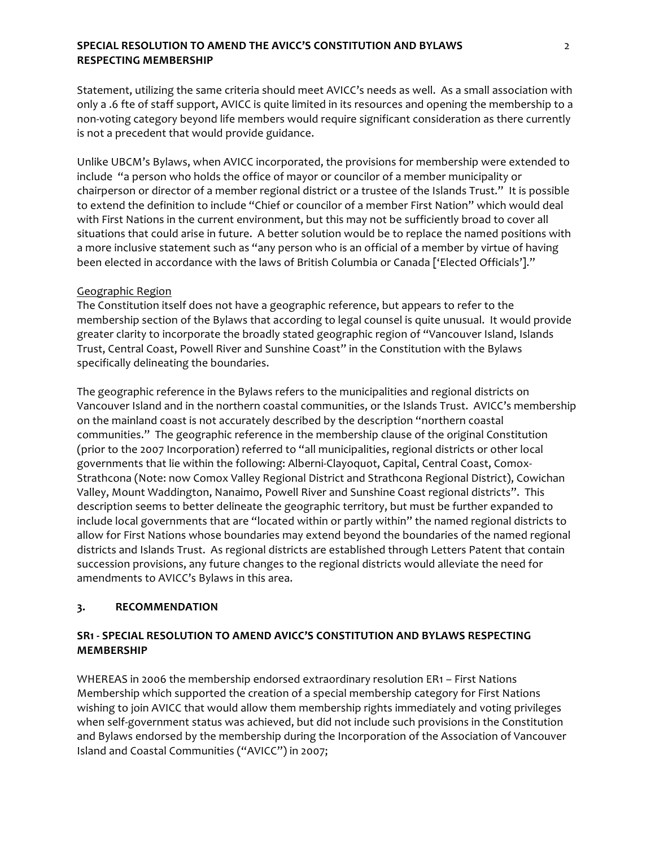# **SPECIAL RESOLUTION TO AMEND THE AVICC'S CONSTITUTION AND BYLAWS** *2* **RESPECTING MEMBERSHIP**

Statement, utilizing the same criteria should meet AVICC's needs as well. As a small association with only a .6 fte of staff support, AVICC is quite limited in its resources and opening the membership to a non-voting category beyond life members would require significant consideration as there currently is not a precedent that would provide guidance.

Unlike UBCM's Bylaws, when AVICC incorporated, the provisions for membership were extended to include "a person who holds the office of mayor or councilor of a member municipality or chairperson or director of a member regional district or a trustee of the Islands Trust." It is possible to extend the definition to include "Chief or councilor of a member First Nation" which would deal with First Nations in the current environment, but this may not be sufficiently broad to cover all situations that could arise in future. A better solution would be to replace the named positions with a more inclusive statement such as "any person who is an official of a member by virtue of having been elected in accordance with the laws of British Columbia or Canada ['Elected Officials']."

## Geographic Region

The Constitution itself does not have a geographic reference, but appears to refer to the membership section of the Bylaws that according to legal counsel is quite unusual. It would provide greater clarity to incorporate the broadly stated geographic region of "Vancouver Island, Islands Trust, Central Coast, Powell River and Sunshine Coast" in the Constitution with the Bylaws specifically delineating the boundaries.

The geographic reference in the Bylaws refers to the municipalities and regional districts on Vancouver Island and in the northern coastal communities, or the Islands Trust. AVICC's membership on the mainland coast is not accurately described by the description "northern coastal communities." The geographic reference in the membership clause of the original Constitution (prior to the 2007 Incorporation) referred to "all municipalities, regional districts or other local governments that lie within the following: Alberni-Clayoquot, Capital, Central Coast, Comox-Strathcona (Note: now Comox Valley Regional District and Strathcona Regional District), Cowichan Valley, Mount Waddington, Nanaimo, Powell River and Sunshine Coast regional districts". This description seems to better delineate the geographic territory, but must be further expanded to include local governments that are "located within or partly within" the named regional districts to allow for First Nations whose boundaries may extend beyond the boundaries of the named regional districts and Islands Trust. As regional districts are established through Letters Patent that contain succession provisions, any future changes to the regional districts would alleviate the need for amendments to AVICC's Bylaws in this area.

### **3. RECOMMENDATION**

# **SR1 - SPECIAL RESOLUTION TO AMEND AVICC'S CONSTITUTION AND BYLAWS RESPECTING MEMBERSHIP**

WHEREAS in 2006 the membership endorsed extraordinary resolution ER1 - First Nations Membership which supported the creation of a special membership category for First Nations wishing to join AVICC that would allow them membership rights immediately and voting privileges when self-government status was achieved, but did not include such provisions in the Constitution and Bylaws endorsed by the membership during the Incorporation of the Association of Vancouver Island and Coastal Communities ("AVICC") in 2007;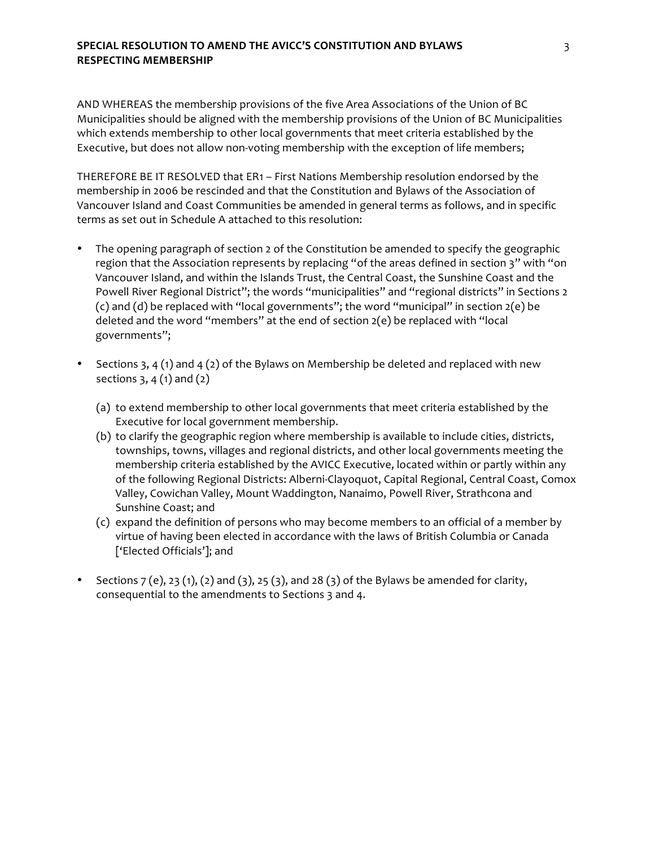# **SPECIAL RESOLUTION TO AMEND THE AVICC'S CONSTITUTION AND BYLAWS By and AUST AT AUTHORY CONSTITUTION** AND **BYLAWS RESPECTING MEMBERSHIP**

AND WHEREAS the membership provisions of the five Area Associations of the Union of BC Municipalities should be aligned with the membership provisions of the Union of BC Municipalities which extends membership to other local governments that meet criteria established by the Executive, but does not allow non-voting membership with the exception of life members;

THEREFORE BE IT RESOLVED that ER1 - First Nations Membership resolution endorsed by the membership in 2006 be rescinded and that the Constitution and Bylaws of the Association of Vancouver Island and Coast Communities be amended in general terms as follows, and in specific terms as set out in Schedule A attached to this resolution:

- The opening paragraph of section 2 of the Constitution be amended to specify the geographic region that the Association represents by replacing "of the areas defined in section 3" with "on Vancouver Island, and within the Islands Trust, the Central Coast, the Sunshine Coast and the Powell River Regional District"; the words "municipalities" and "regional districts" in Sections 2 (c) and (d) be replaced with "local governments"; the word "municipal" in section  $2(e)$  be deleted and the word "members" at the end of section  $2(e)$  be replaced with "local governments";
- Sections 3, 4 (1) and 4 (2) of the Bylaws on Membership be deleted and replaced with new sections  $3, 4(1)$  and  $(2)$ 
	- (a) to extend membership to other local governments that meet criteria established by the Executive for local government membership.
	- (b) to clarify the geographic region where membership is available to include cities, districts, townships, towns, villages and regional districts, and other local governments meeting the membership criteria established by the AVICC Executive, located within or partly within any of the following Regional Districts: Alberni-Clayoquot, Capital Regional, Central Coast, Comox Valley, Cowichan Valley, Mount Waddington, Nanaimo, Powell River, Strathcona and Sunshine Coast; and
	- (c) expand the definition of persons who may become members to an official of a member by virtue of having been elected in accordance with the laws of British Columbia or Canada ['Elected Officials']; and
- Sections  $7$  (e),  $23$  (1), (2) and (3),  $25$  (3), and  $28$  (3) of the Bylaws be amended for clarity, consequential to the amendments to Sections 3 and 4.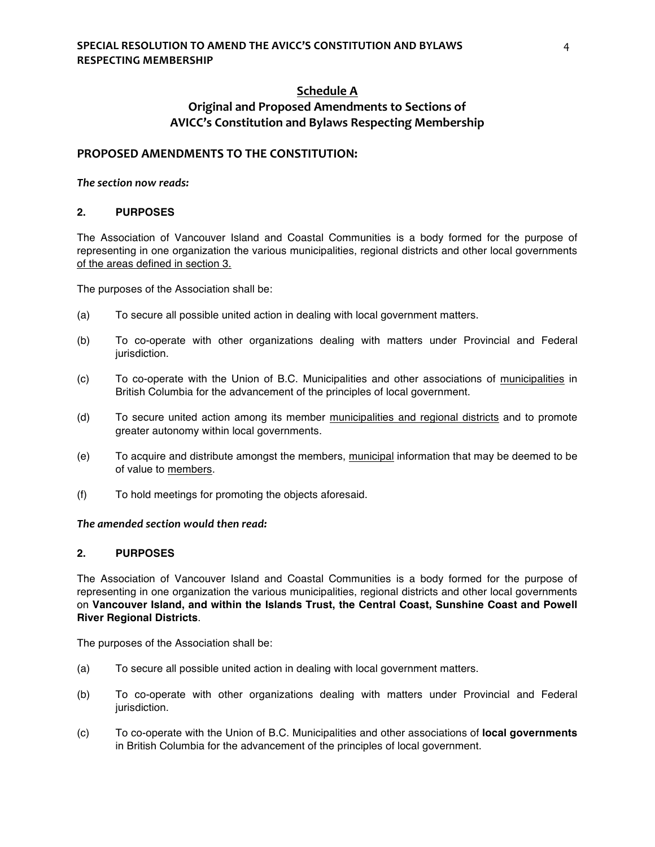# **Schedule A Original and Proposed Amendments to Sections of AVICC's Constitution and Bylaws Respecting Membership**

### **PROPOSED AMENDMENTS TO THE CONSTITUTION:**

#### *The section now reads:*

#### **2. PURPOSES**

The Association of Vancouver Island and Coastal Communities is a body formed for the purpose of representing in one organization the various municipalities, regional districts and other local governments of the areas defined in section 3.

The purposes of the Association shall be:

- (a) To secure all possible united action in dealing with local government matters.
- (b) To co-operate with other organizations dealing with matters under Provincial and Federal jurisdiction.
- (c) To co-operate with the Union of B.C. Municipalities and other associations of municipalities in British Columbia for the advancement of the principles of local government.
- (d) To secure united action among its member municipalities and regional districts and to promote greater autonomy within local governments.
- (e) To acquire and distribute amongst the members, municipal information that may be deemed to be of value to members.
- (f) To hold meetings for promoting the objects aforesaid.

## The amended section would then read:

## **2. PURPOSES**

The Association of Vancouver Island and Coastal Communities is a body formed for the purpose of representing in one organization the various municipalities, regional districts and other local governments on **Vancouver Island, and within the Islands Trust, the Central Coast, Sunshine Coast and Powell River Regional Districts**.

The purposes of the Association shall be:

- (a) To secure all possible united action in dealing with local government matters.
- (b) To co-operate with other organizations dealing with matters under Provincial and Federal jurisdiction.
- (c) To co-operate with the Union of B.C. Municipalities and other associations of **local governments** in British Columbia for the advancement of the principles of local government.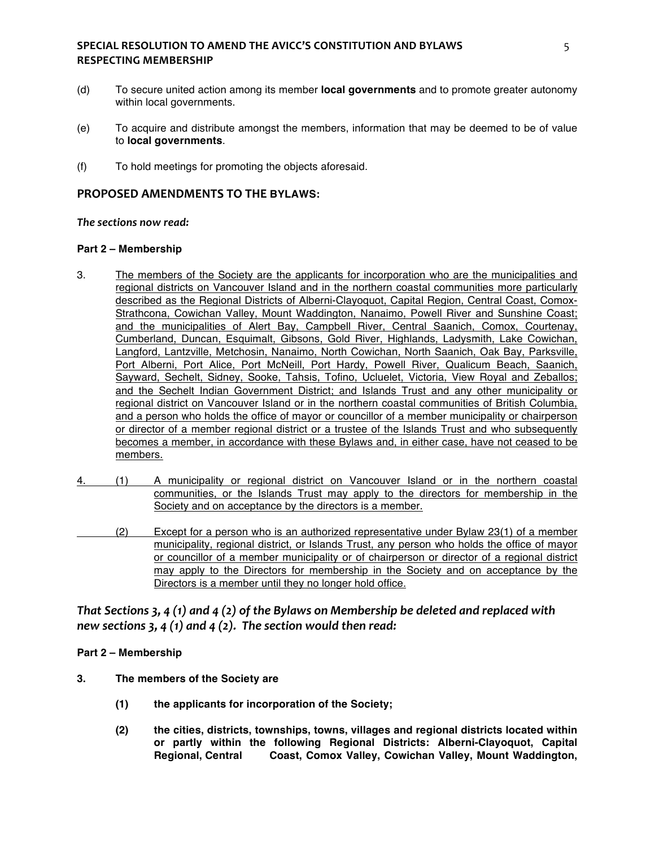## **SPECIAL RESOLUTION TO AMEND THE AVICC'S CONSTITUTION AND BYLAWS 8 RESPECTING MEMBERSHIP**

- (d) To secure united action among its member **local governments** and to promote greater autonomy within local governments.
- (e) To acquire and distribute amongst the members, information that may be deemed to be of value to **local governments**.
- (f) To hold meetings for promoting the objects aforesaid.

# **PROPOSED AMENDMENTS TO THE BYLAWS:**

#### The sections now read:

#### **Part 2 – Membership**

- 3. The members of the Society are the applicants for incorporation who are the municipalities and regional districts on Vancouver Island and in the northern coastal communities more particularly described as the Regional Districts of Alberni-Clayoquot, Capital Region, Central Coast, Comox-Strathcona, Cowichan Valley, Mount Waddington, Nanaimo, Powell River and Sunshine Coast; and the municipalities of Alert Bay, Campbell River, Central Saanich, Comox, Courtenay, Cumberland, Duncan, Esquimalt, Gibsons, Gold River, Highlands, Ladysmith, Lake Cowichan, Langford, Lantzville, Metchosin, Nanaimo, North Cowichan, North Saanich, Oak Bay, Parksville, Port Alberni, Port Alice, Port McNeill, Port Hardy, Powell River, Qualicum Beach, Saanich, Sayward, Sechelt, Sidney, Sooke, Tahsis, Tofino, Ucluelet, Victoria, View Royal and Zeballos; and the Sechelt Indian Government District; and Islands Trust and any other municipality or regional district on Vancouver Island or in the northern coastal communities of British Columbia, and a person who holds the office of mayor or councillor of a member municipality or chairperson or director of a member regional district or a trustee of the Islands Trust and who subsequently becomes a member, in accordance with these Bylaws and, in either case, have not ceased to be members.
- 4. (1) A municipality or regional district on Vancouver Island or in the northern coastal communities, or the Islands Trust may apply to the directors for membership in the Society and on acceptance by the directors is a member.
- (2) Except for a person who is an authorized representative under Bylaw 23(1) of a member municipality, regional district, or Islands Trust, any person who holds the office of mayor or councillor of a member municipality or of chairperson or director of a regional district may apply to the Directors for membership in the Society and on acceptance by the Directors is a member until they no longer hold office.

# *That Sections 3, 4 (1)* and 4 (2) of the Bylaws on Membership be deleted and replaced with *new sections 3, 4 (1) and 4 (2). The section would then read:*

### **Part 2 – Membership**

- **3. The members of the Society are** 
	- **(1) the applicants for incorporation of the Society;**
	- **(2) the cities, districts, townships, towns, villages and regional districts located within or partly within the following Regional Districts: Alberni-Clayoquot, Capital Regional, Central Coast, Comox Valley, Cowichan Valley, Mount Waddington,**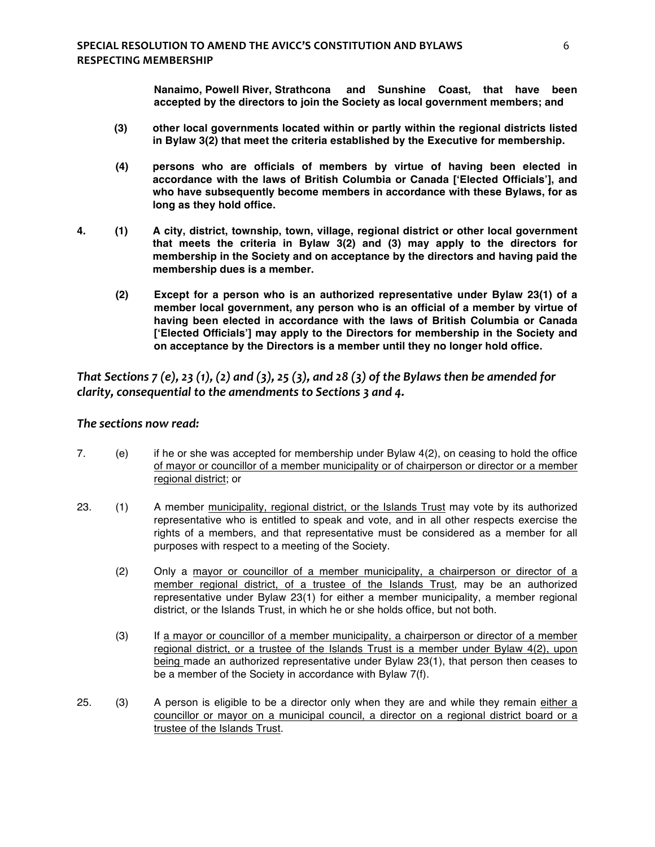**Nanaimo, Powell River, Strathcona and Sunshine Coast, that have been accepted by the directors to join the Society as local government members; and**

- **(3) other local governments located within or partly within the regional districts listed in Bylaw 3(2) that meet the criteria established by the Executive for membership.**
- **(4) persons who are officials of members by virtue of having been elected in accordance with the laws of British Columbia or Canada ['Elected Officials'], and who have subsequently become members in accordance with these Bylaws, for as long as they hold office.**
- **4. (1) A city, district, township, town, village, regional district or other local government that meets the criteria in Bylaw 3(2) and (3) may apply to the directors for membership in the Society and on acceptance by the directors and having paid the membership dues is a member.**
	- **(2) Except for a person who is an authorized representative under Bylaw 23(1) of a member local government, any person who is an official of a member by virtue of having been elected in accordance with the laws of British Columbia or Canada ['Elected Officials'] may apply to the Directors for membership in the Society and on acceptance by the Directors is a member until they no longer hold office.**

*That Sections 7* (e), 23 (1), (2) and (3), 25 (3), and 28 (3) of the Bylaws then be amended for *clarity, consequential to the amendments to Sections 3 and 4.* 

## The sections now read:

- 7. (e) if he or she was accepted for membership under Bylaw 4(2), on ceasing to hold the office of mayor or councillor of a member municipality or of chairperson or director or a member regional district; or
- 23. (1) A member municipality, regional district, or the Islands Trust may vote by its authorized representative who is entitled to speak and vote, and in all other respects exercise the rights of a members, and that representative must be considered as a member for all purposes with respect to a meeting of the Society.
	- (2) Only a mayor or councillor of a member municipality, a chairperson or director of a member regional district, of a trustee of the Islands Trust, may be an authorized representative under Bylaw 23(1) for either a member municipality, a member regional district, or the Islands Trust, in which he or she holds office, but not both.
	- (3) If a mayor or councillor of a member municipality, a chairperson or director of a member regional district, or a trustee of the Islands Trust is a member under Bylaw 4(2), upon being made an authorized representative under Bylaw 23(1), that person then ceases to be a member of the Society in accordance with Bylaw 7(f).
- 25. (3) A person is eligible to be a director only when they are and while they remain either a councillor or mayor on a municipal council, a director on a regional district board or a trustee of the Islands Trust.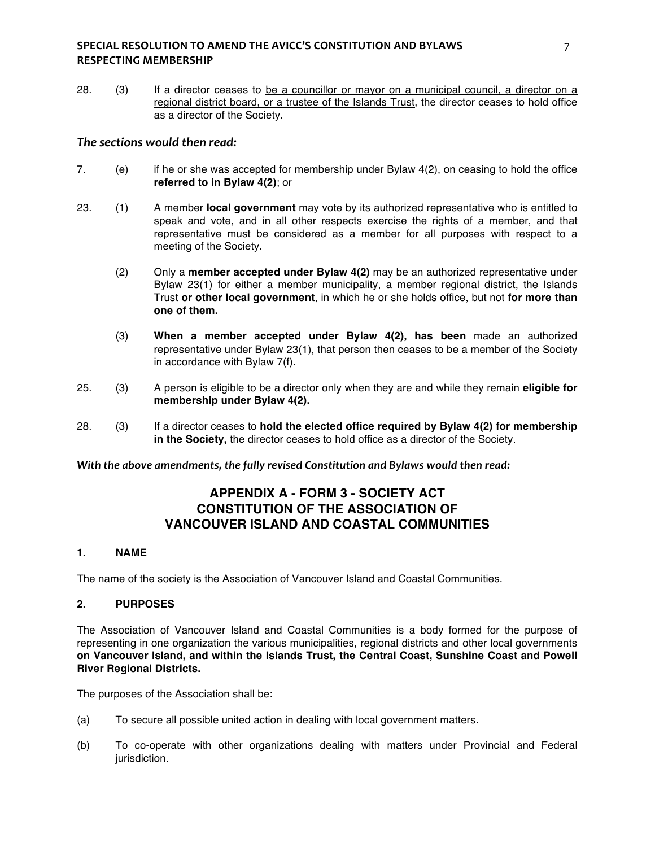## **SPECIAL RESOLUTION TO AMEND THE AVICC'S CONSTITUTION AND BYLAWS** *T* **RESPECTING MEMBERSHIP**

28. (3) If a director ceases to be a councillor or mayor on a municipal council, a director on a regional district board, or a trustee of the Islands Trust, the director ceases to hold office as a director of the Society.

# The sections would then read:

- 7. (e) if he or she was accepted for membership under Bylaw 4(2), on ceasing to hold the office **referred to in Bylaw 4(2)**; or
- 23. (1) A member **local government** may vote by its authorized representative who is entitled to speak and vote, and in all other respects exercise the rights of a member, and that representative must be considered as a member for all purposes with respect to a meeting of the Society.
	- (2) Only a **member accepted under Bylaw 4(2)** may be an authorized representative under Bylaw 23(1) for either a member municipality, a member regional district, the Islands Trust **or other local government**, in which he or she holds office, but not **for more than one of them.**
	- (3) **When a member accepted under Bylaw 4(2), has been** made an authorized representative under Bylaw 23(1), that person then ceases to be a member of the Society in accordance with Bylaw 7(f).
- 25. (3) A person is eligible to be a director only when they are and while they remain **eligible for membership under Bylaw 4(2).**
- 28. (3) If a director ceases to **hold the elected office required by Bylaw 4(2) for membership in the Society,** the director ceases to hold office as a director of the Society.

With the above amendments, the fully revised Constitution and Bylaws would then read:

# **APPENDIX A - FORM 3 - SOCIETY ACT CONSTITUTION OF THE ASSOCIATION OF VANCOUVER ISLAND AND COASTAL COMMUNITIES**

### **1. NAME**

The name of the society is the Association of Vancouver Island and Coastal Communities.

#### **2. PURPOSES**

The Association of Vancouver Island and Coastal Communities is a body formed for the purpose of representing in one organization the various municipalities, regional districts and other local governments **on Vancouver Island, and within the Islands Trust, the Central Coast, Sunshine Coast and Powell River Regional Districts.**

The purposes of the Association shall be:

- (a) To secure all possible united action in dealing with local government matters.
- (b) To co-operate with other organizations dealing with matters under Provincial and Federal jurisdiction.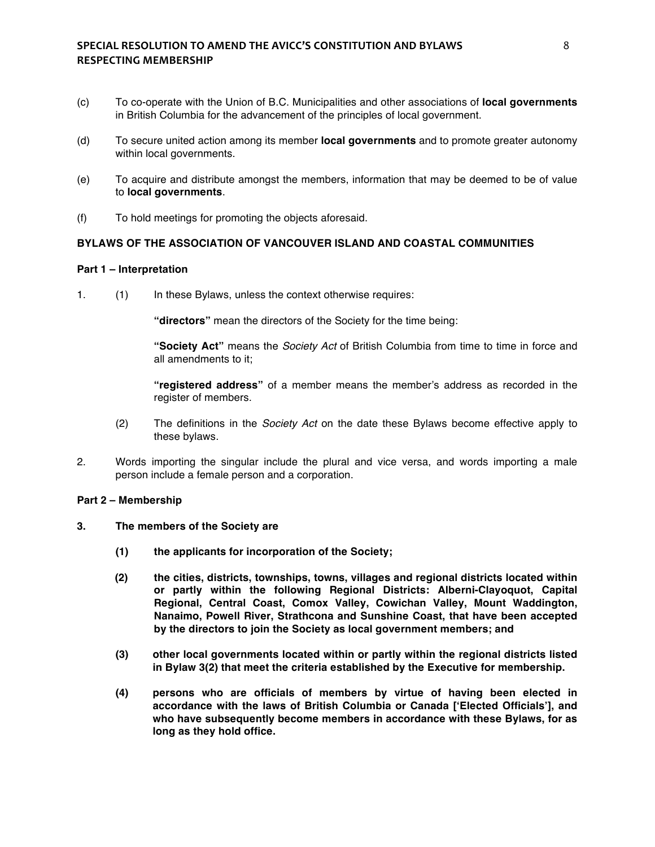## **SPECIAL RESOLUTION TO AMEND THE AVICC'S CONSTITUTION AND BYLAWS**  $\begin{array}{c} 8 \end{array}$ **RESPECTING MEMBERSHIP**

- (c) To co-operate with the Union of B.C. Municipalities and other associations of **local governments** in British Columbia for the advancement of the principles of local government.
- (d) To secure united action among its member **local governments** and to promote greater autonomy within local governments.
- (e) To acquire and distribute amongst the members, information that may be deemed to be of value to **local governments**.
- (f) To hold meetings for promoting the objects aforesaid.

### **BYLAWS OF THE ASSOCIATION OF VANCOUVER ISLAND AND COASTAL COMMUNITIES**

#### **Part 1 – Interpretation**

1. (1) In these Bylaws, unless the context otherwise requires:

**"directors"** mean the directors of the Society for the time being:

**"Society Act"** means the *Society Act* of British Columbia from time to time in force and all amendments to it;

**"registered address"** of a member means the member's address as recorded in the register of members.

- (2) The definitions in the *Society Act* on the date these Bylaws become effective apply to these bylaws.
- 2. Words importing the singular include the plural and vice versa, and words importing a male person include a female person and a corporation.

### **Part 2 – Membership**

- **3. The members of the Society are** 
	- **(1) the applicants for incorporation of the Society;**
	- **(2) the cities, districts, townships, towns, villages and regional districts located within or partly within the following Regional Districts: Alberni-Clayoquot, Capital Regional, Central Coast, Comox Valley, Cowichan Valley, Mount Waddington, Nanaimo, Powell River, Strathcona and Sunshine Coast, that have been accepted by the directors to join the Society as local government members; and**
	- **(3) other local governments located within or partly within the regional districts listed in Bylaw 3(2) that meet the criteria established by the Executive for membership.**
	- **(4) persons who are officials of members by virtue of having been elected in accordance with the laws of British Columbia or Canada ['Elected Officials'], and who have subsequently become members in accordance with these Bylaws, for as long as they hold office.**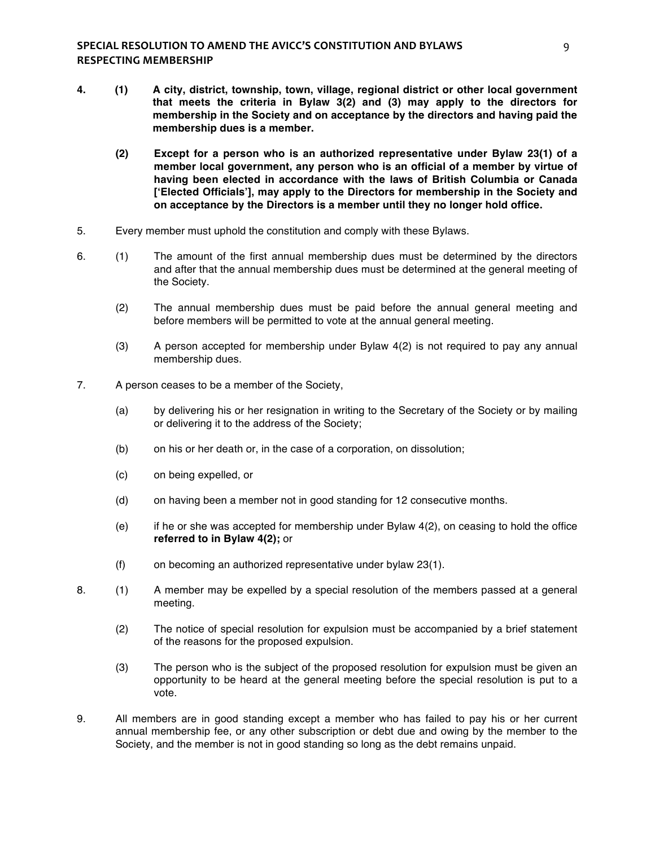- **4. (1) A city, district, township, town, village, regional district or other local government that meets the criteria in Bylaw 3(2) and (3) may apply to the directors for membership in the Society and on acceptance by the directors and having paid the membership dues is a member.**
	- **(2) Except for a person who is an authorized representative under Bylaw 23(1) of a member local government, any person who is an official of a member by virtue of having been elected in accordance with the laws of British Columbia or Canada ['Elected Officials'], may apply to the Directors for membership in the Society and on acceptance by the Directors is a member until they no longer hold office.**
- 5. Every member must uphold the constitution and comply with these Bylaws.
- 6. (1) The amount of the first annual membership dues must be determined by the directors and after that the annual membership dues must be determined at the general meeting of the Society.
	- (2) The annual membership dues must be paid before the annual general meeting and before members will be permitted to vote at the annual general meeting.
	- (3) A person accepted for membership under Bylaw 4(2) is not required to pay any annual membership dues.
- 7. A person ceases to be a member of the Society,
	- (a) by delivering his or her resignation in writing to the Secretary of the Society or by mailing or delivering it to the address of the Society;
	- (b) on his or her death or, in the case of a corporation, on dissolution;
	- (c) on being expelled, or
	- (d) on having been a member not in good standing for 12 consecutive months.
	- (e) if he or she was accepted for membership under Bylaw 4(2), on ceasing to hold the office **referred to in Bylaw 4(2);** or
	- (f) on becoming an authorized representative under bylaw 23(1).
- 8. (1) A member may be expelled by a special resolution of the members passed at a general meeting.
	- (2) The notice of special resolution for expulsion must be accompanied by a brief statement of the reasons for the proposed expulsion.
	- (3) The person who is the subject of the proposed resolution for expulsion must be given an opportunity to be heard at the general meeting before the special resolution is put to a vote.
- 9. All members are in good standing except a member who has failed to pay his or her current annual membership fee, or any other subscription or debt due and owing by the member to the Society, and the member is not in good standing so long as the debt remains unpaid.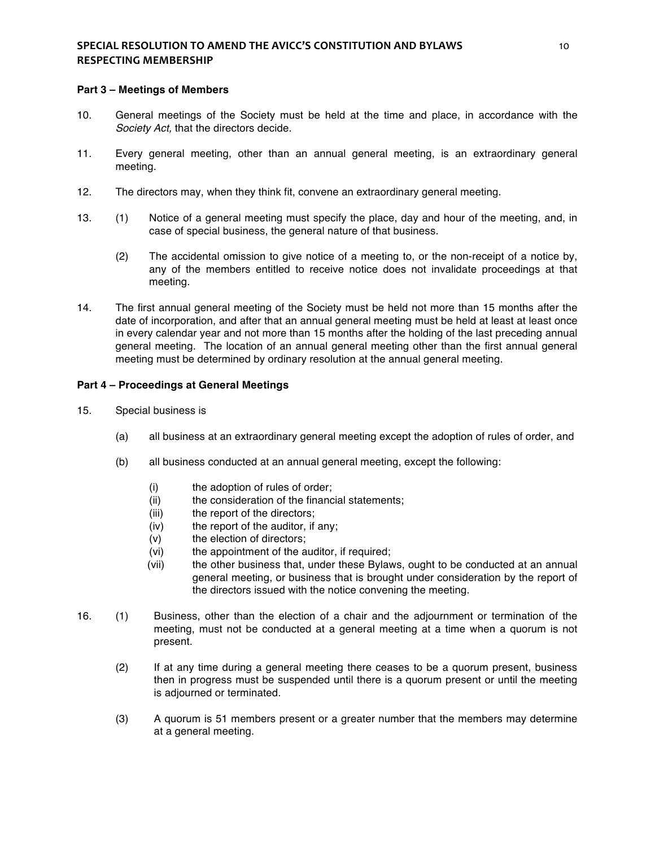## **SPECIAL RESOLUTION TO AMEND THE AVICC'S CONSTITUTION AND BYLAWS** *CONSTITUTION* **RESPECTING MEMBERSHIP**

#### **Part 3 – Meetings of Members**

- 10. General meetings of the Society must be held at the time and place, in accordance with the *Society Act,* that the directors decide.
- 11. Every general meeting, other than an annual general meeting, is an extraordinary general meeting.
- 12. The directors may, when they think fit, convene an extraordinary general meeting.
- 13. (1) Notice of a general meeting must specify the place, day and hour of the meeting, and, in case of special business, the general nature of that business.
	- (2) The accidental omission to give notice of a meeting to, or the non-receipt of a notice by, any of the members entitled to receive notice does not invalidate proceedings at that meeting.
- 14. The first annual general meeting of the Society must be held not more than 15 months after the date of incorporation, and after that an annual general meeting must be held at least at least once in every calendar year and not more than 15 months after the holding of the last preceding annual general meeting. The location of an annual general meeting other than the first annual general meeting must be determined by ordinary resolution at the annual general meeting.

### **Part 4 – Proceedings at General Meetings**

- 15. Special business is
	- (a) all business at an extraordinary general meeting except the adoption of rules of order, and
	- (b) all business conducted at an annual general meeting, except the following:
		- (i) the adoption of rules of order;
		- (ii) the consideration of the financial statements;
		- (iii) the report of the directors;
		- (iv) the report of the auditor, if any;
		- (v) the election of directors;
		- (vi) the appointment of the auditor, if required;
		- (vii) the other business that, under these Bylaws, ought to be conducted at an annual general meeting, or business that is brought under consideration by the report of the directors issued with the notice convening the meeting.
- 16. (1) Business, other than the election of a chair and the adjournment or termination of the meeting, must not be conducted at a general meeting at a time when a quorum is not present.
	- (2) If at any time during a general meeting there ceases to be a quorum present, business then in progress must be suspended until there is a quorum present or until the meeting is adjourned or terminated.
	- (3) A quorum is 51 members present or a greater number that the members may determine at a general meeting.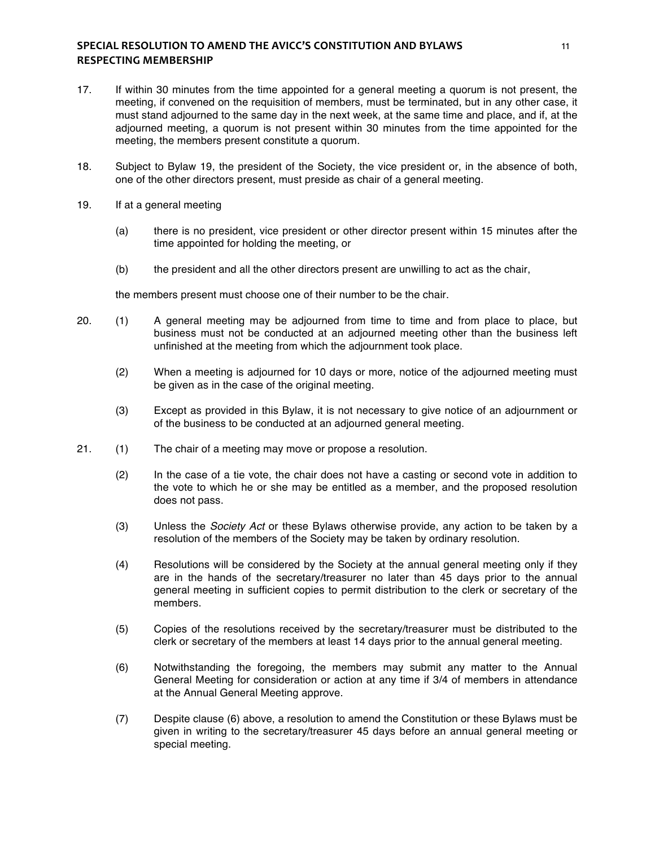## **SPECIAL RESOLUTION TO AMEND THE AVICC'S CONSTITUTION AND BYLAWS** *MACHELLAGY* **RESPECTING MEMBERSHIP**

- 17. If within 30 minutes from the time appointed for a general meeting a quorum is not present, the meeting, if convened on the requisition of members, must be terminated, but in any other case, it must stand adjourned to the same day in the next week, at the same time and place, and if, at the adjourned meeting, a quorum is not present within 30 minutes from the time appointed for the meeting, the members present constitute a quorum.
- 18. Subject to Bylaw 19, the president of the Society, the vice president or, in the absence of both, one of the other directors present, must preside as chair of a general meeting.
- 19. If at a general meeting
	- (a) there is no president, vice president or other director present within 15 minutes after the time appointed for holding the meeting, or
	- (b) the president and all the other directors present are unwilling to act as the chair,

the members present must choose one of their number to be the chair.

- 20. (1) A general meeting may be adjourned from time to time and from place to place, but business must not be conducted at an adjourned meeting other than the business left unfinished at the meeting from which the adjournment took place.
	- (2) When a meeting is adjourned for 10 days or more, notice of the adjourned meeting must be given as in the case of the original meeting.
	- (3) Except as provided in this Bylaw, it is not necessary to give notice of an adjournment or of the business to be conducted at an adjourned general meeting.
- 21. (1) The chair of a meeting may move or propose a resolution.
	- (2) In the case of a tie vote, the chair does not have a casting or second vote in addition to the vote to which he or she may be entitled as a member, and the proposed resolution does not pass.
	- (3) Unless the *Society Act* or these Bylaws otherwise provide, any action to be taken by a resolution of the members of the Society may be taken by ordinary resolution.
	- (4) Resolutions will be considered by the Society at the annual general meeting only if they are in the hands of the secretary/treasurer no later than 45 days prior to the annual general meeting in sufficient copies to permit distribution to the clerk or secretary of the members.
	- (5) Copies of the resolutions received by the secretary/treasurer must be distributed to the clerk or secretary of the members at least 14 days prior to the annual general meeting.
	- (6) Notwithstanding the foregoing, the members may submit any matter to the Annual General Meeting for consideration or action at any time if 3/4 of members in attendance at the Annual General Meeting approve.
	- (7) Despite clause (6) above, a resolution to amend the Constitution or these Bylaws must be given in writing to the secretary/treasurer 45 days before an annual general meeting or special meeting.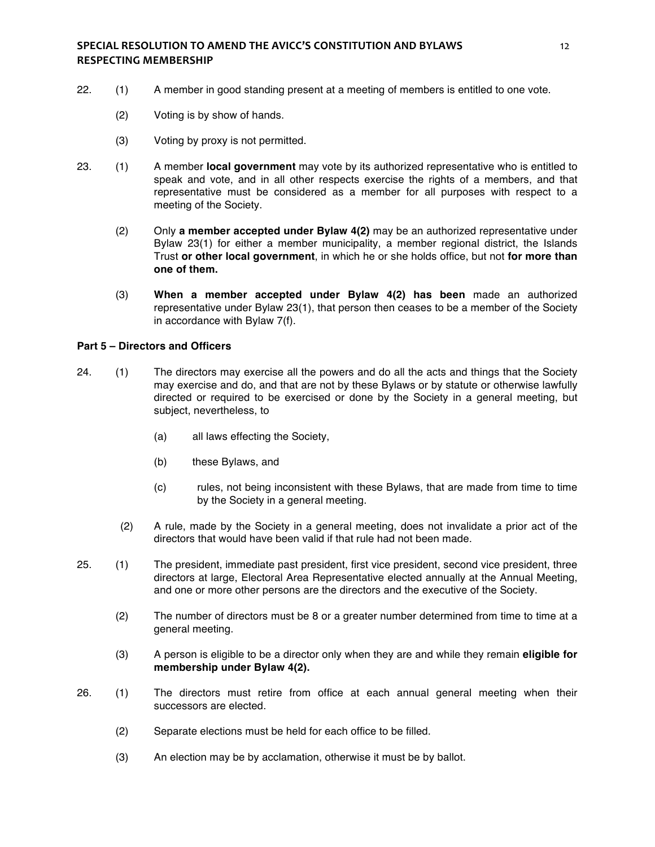- 22. (1) A member in good standing present at a meeting of members is entitled to one vote.
	- (2) Voting is by show of hands.
	- (3) Voting by proxy is not permitted.
- 23. (1) A member **local government** may vote by its authorized representative who is entitled to speak and vote, and in all other respects exercise the rights of a members, and that representative must be considered as a member for all purposes with respect to a meeting of the Society.
	- (2) Only **a member accepted under Bylaw 4(2)** may be an authorized representative under Bylaw 23(1) for either a member municipality, a member regional district, the Islands Trust **or other local government**, in which he or she holds office, but not **for more than one of them.**
	- (3) **When a member accepted under Bylaw 4(2) has been** made an authorized representative under Bylaw 23(1), that person then ceases to be a member of the Society in accordance with Bylaw 7(f).

## **Part 5 – Directors and Officers**

- 24. (1) The directors may exercise all the powers and do all the acts and things that the Society may exercise and do, and that are not by these Bylaws or by statute or otherwise lawfully directed or required to be exercised or done by the Society in a general meeting, but subject, nevertheless, to
	- (a) all laws effecting the Society,
	- (b) these Bylaws, and
	- (c) rules, not being inconsistent with these Bylaws, that are made from time to time by the Society in a general meeting.
	- (2) A rule, made by the Society in a general meeting, does not invalidate a prior act of the directors that would have been valid if that rule had not been made.
- 25. (1) The president, immediate past president, first vice president, second vice president, three directors at large, Electoral Area Representative elected annually at the Annual Meeting, and one or more other persons are the directors and the executive of the Society.
	- (2) The number of directors must be 8 or a greater number determined from time to time at a general meeting.
	- (3) A person is eligible to be a director only when they are and while they remain **eligible for membership under Bylaw 4(2).**
- 26. (1) The directors must retire from office at each annual general meeting when their successors are elected.
	- (2) Separate elections must be held for each office to be filled.
	- (3) An election may be by acclamation, otherwise it must be by ballot.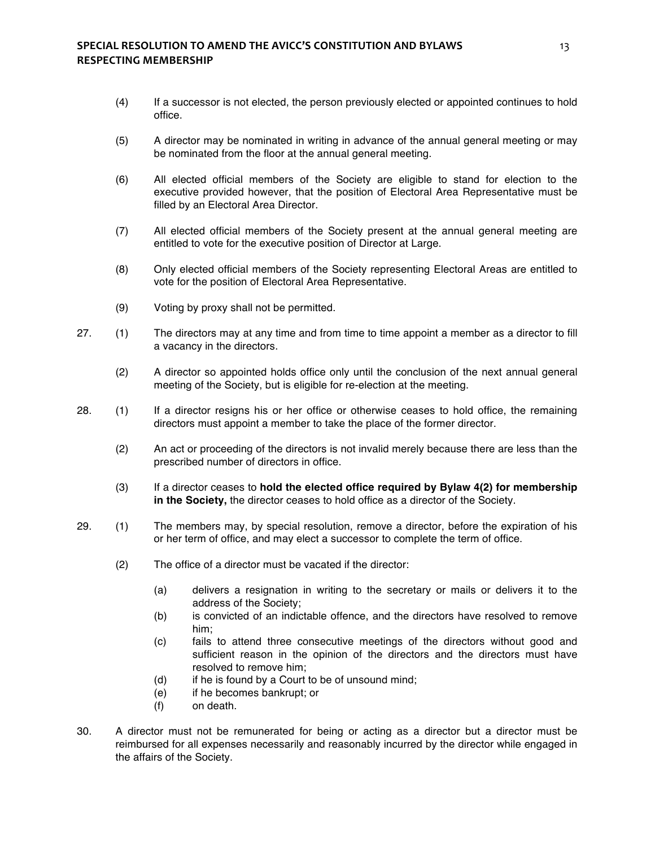- (4) If a successor is not elected, the person previously elected or appointed continues to hold office.
- (5) A director may be nominated in writing in advance of the annual general meeting or may be nominated from the floor at the annual general meeting.
- (6) All elected official members of the Society are eligible to stand for election to the executive provided however, that the position of Electoral Area Representative must be filled by an Electoral Area Director.
- (7) All elected official members of the Society present at the annual general meeting are entitled to vote for the executive position of Director at Large.
- (8) Only elected official members of the Society representing Electoral Areas are entitled to vote for the position of Electoral Area Representative.
- (9) Voting by proxy shall not be permitted.
- 27. (1) The directors may at any time and from time to time appoint a member as a director to fill a vacancy in the directors.
	- (2) A director so appointed holds office only until the conclusion of the next annual general meeting of the Society, but is eligible for re-election at the meeting.
- 28. (1) If a director resigns his or her office or otherwise ceases to hold office, the remaining directors must appoint a member to take the place of the former director.
	- (2) An act or proceeding of the directors is not invalid merely because there are less than the prescribed number of directors in office.
	- (3) If a director ceases to **hold the elected office required by Bylaw 4(2) for membership in the Society,** the director ceases to hold office as a director of the Society.
- 29. (1) The members may, by special resolution, remove a director, before the expiration of his or her term of office, and may elect a successor to complete the term of office.
	- (2) The office of a director must be vacated if the director:
		- (a) delivers a resignation in writing to the secretary or mails or delivers it to the address of the Society;
		- (b) is convicted of an indictable offence, and the directors have resolved to remove him;
		- (c) fails to attend three consecutive meetings of the directors without good and sufficient reason in the opinion of the directors and the directors must have resolved to remove him;
		- (d) if he is found by a Court to be of unsound mind;
		- (e) if he becomes bankrupt; or
		- (f) on death.
- 30. A director must not be remunerated for being or acting as a director but a director must be reimbursed for all expenses necessarily and reasonably incurred by the director while engaged in the affairs of the Society.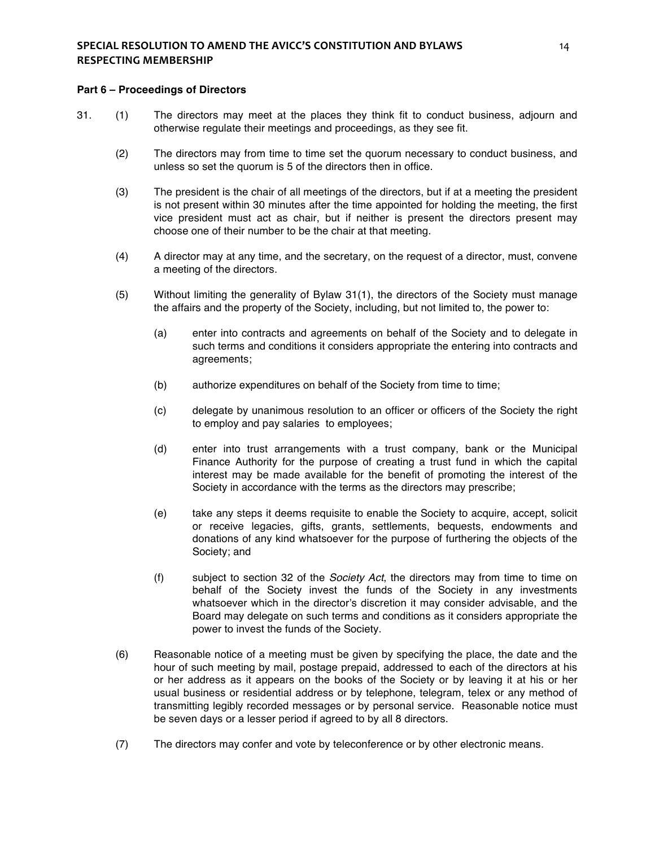#### **Part 6 – Proceedings of Directors**

- 31. (1) The directors may meet at the places they think fit to conduct business, adjourn and otherwise regulate their meetings and proceedings, as they see fit.
	- (2) The directors may from time to time set the quorum necessary to conduct business, and unless so set the quorum is 5 of the directors then in office.
	- (3) The president is the chair of all meetings of the directors, but if at a meeting the president is not present within 30 minutes after the time appointed for holding the meeting, the first vice president must act as chair, but if neither is present the directors present may choose one of their number to be the chair at that meeting.
	- (4) A director may at any time, and the secretary, on the request of a director, must, convene a meeting of the directors.
	- (5) Without limiting the generality of Bylaw 31(1), the directors of the Society must manage the affairs and the property of the Society, including, but not limited to, the power to:
		- (a) enter into contracts and agreements on behalf of the Society and to delegate in such terms and conditions it considers appropriate the entering into contracts and agreements;
		- (b) authorize expenditures on behalf of the Society from time to time;
		- (c) delegate by unanimous resolution to an officer or officers of the Society the right to employ and pay salaries to employees;
		- (d) enter into trust arrangements with a trust company, bank or the Municipal Finance Authority for the purpose of creating a trust fund in which the capital interest may be made available for the benefit of promoting the interest of the Society in accordance with the terms as the directors may prescribe;
		- (e) take any steps it deems requisite to enable the Society to acquire, accept, solicit or receive legacies, gifts, grants, settlements, bequests, endowments and donations of any kind whatsoever for the purpose of furthering the objects of the Society; and
		- (f) subject to section 32 of the *Society Act*, the directors may from time to time on behalf of the Society invest the funds of the Society in any investments whatsoever which in the director's discretion it may consider advisable, and the Board may delegate on such terms and conditions as it considers appropriate the power to invest the funds of the Society.
	- (6) Reasonable notice of a meeting must be given by specifying the place, the date and the hour of such meeting by mail, postage prepaid, addressed to each of the directors at his or her address as it appears on the books of the Society or by leaving it at his or her usual business or residential address or by telephone, telegram, telex or any method of transmitting legibly recorded messages or by personal service. Reasonable notice must be seven days or a lesser period if agreed to by all 8 directors.
	- (7) The directors may confer and vote by teleconference or by other electronic means.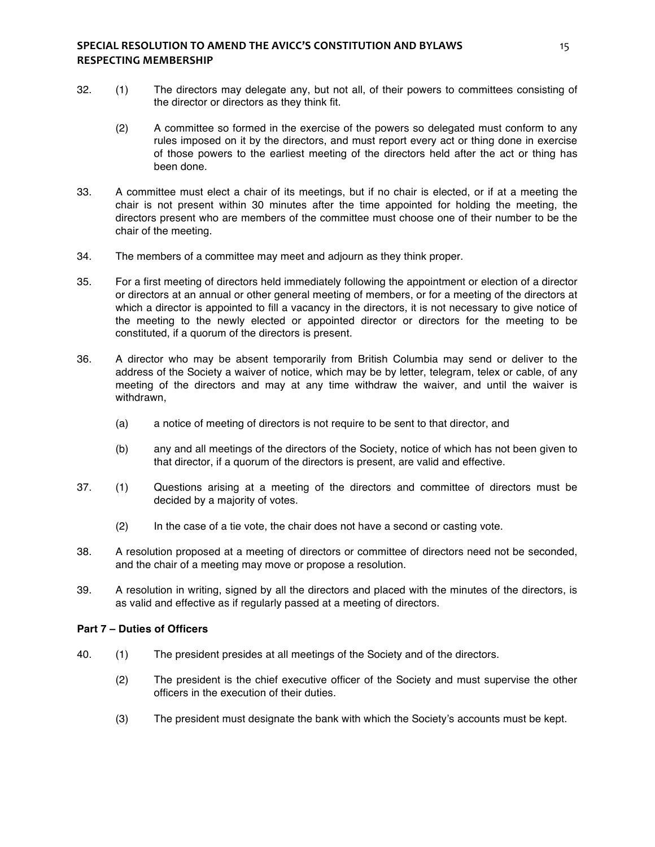### **SPECIAL RESOLUTION TO AMEND THE AVICC'S CONSTITUTION AND BYLAWS 15** 15 **RESPECTING MEMBERSHIP**

- 32. (1) The directors may delegate any, but not all, of their powers to committees consisting of the director or directors as they think fit.
	- (2) A committee so formed in the exercise of the powers so delegated must conform to any rules imposed on it by the directors, and must report every act or thing done in exercise of those powers to the earliest meeting of the directors held after the act or thing has been done.
- 33. A committee must elect a chair of its meetings, but if no chair is elected, or if at a meeting the chair is not present within 30 minutes after the time appointed for holding the meeting, the directors present who are members of the committee must choose one of their number to be the chair of the meeting.
- 34. The members of a committee may meet and adjourn as they think proper.
- 35. For a first meeting of directors held immediately following the appointment or election of a director or directors at an annual or other general meeting of members, or for a meeting of the directors at which a director is appointed to fill a vacancy in the directors, it is not necessary to give notice of the meeting to the newly elected or appointed director or directors for the meeting to be constituted, if a quorum of the directors is present.
- 36. A director who may be absent temporarily from British Columbia may send or deliver to the address of the Society a waiver of notice, which may be by letter, telegram, telex or cable, of any meeting of the directors and may at any time withdraw the waiver, and until the waiver is withdrawn,
	- (a) a notice of meeting of directors is not require to be sent to that director, and
	- (b) any and all meetings of the directors of the Society, notice of which has not been given to that director, if a quorum of the directors is present, are valid and effective.
- 37. (1) Questions arising at a meeting of the directors and committee of directors must be decided by a majority of votes.
	- (2) In the case of a tie vote, the chair does not have a second or casting vote.
- 38. A resolution proposed at a meeting of directors or committee of directors need not be seconded, and the chair of a meeting may move or propose a resolution.
- 39. A resolution in writing, signed by all the directors and placed with the minutes of the directors, is as valid and effective as if regularly passed at a meeting of directors.

### **Part 7 – Duties of Officers**

- 40. (1) The president presides at all meetings of the Society and of the directors.
	- (2) The president is the chief executive officer of the Society and must supervise the other officers in the execution of their duties.
	- (3) The president must designate the bank with which the Society's accounts must be kept.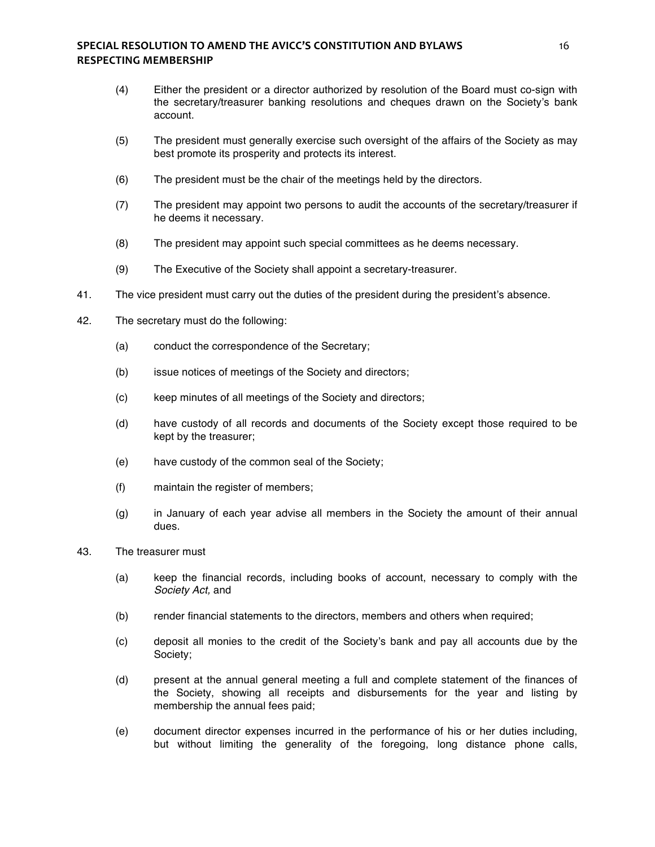## **SPECIAL RESOLUTION TO AMEND THE AVICC'S CONSTITUTION AND BYLAWS** *MACLEMENT* **16 RESPECTING MEMBERSHIP**

- (4) Either the president or a director authorized by resolution of the Board must co-sign with the secretary/treasurer banking resolutions and cheques drawn on the Society's bank account.
- (5) The president must generally exercise such oversight of the affairs of the Society as may best promote its prosperity and protects its interest.
- (6) The president must be the chair of the meetings held by the directors.
- (7) The president may appoint two persons to audit the accounts of the secretary/treasurer if he deems it necessary.
- (8) The president may appoint such special committees as he deems necessary.
- (9) The Executive of the Society shall appoint a secretary-treasurer.
- 41. The vice president must carry out the duties of the president during the president's absence.
- 42. The secretary must do the following:
	- (a) conduct the correspondence of the Secretary;
	- (b) issue notices of meetings of the Society and directors;
	- (c) keep minutes of all meetings of the Society and directors;
	- (d) have custody of all records and documents of the Society except those required to be kept by the treasurer;
	- (e) have custody of the common seal of the Society;
	- (f) maintain the register of members;
	- (g) in January of each year advise all members in the Society the amount of their annual dues.
- 43. The treasurer must
	- (a) keep the financial records, including books of account, necessary to comply with the *Society Act,* and
	- (b) render financial statements to the directors, members and others when required;
	- (c) deposit all monies to the credit of the Society's bank and pay all accounts due by the Society;
	- (d) present at the annual general meeting a full and complete statement of the finances of the Society, showing all receipts and disbursements for the year and listing by membership the annual fees paid;
	- (e) document director expenses incurred in the performance of his or her duties including, but without limiting the generality of the foregoing, long distance phone calls,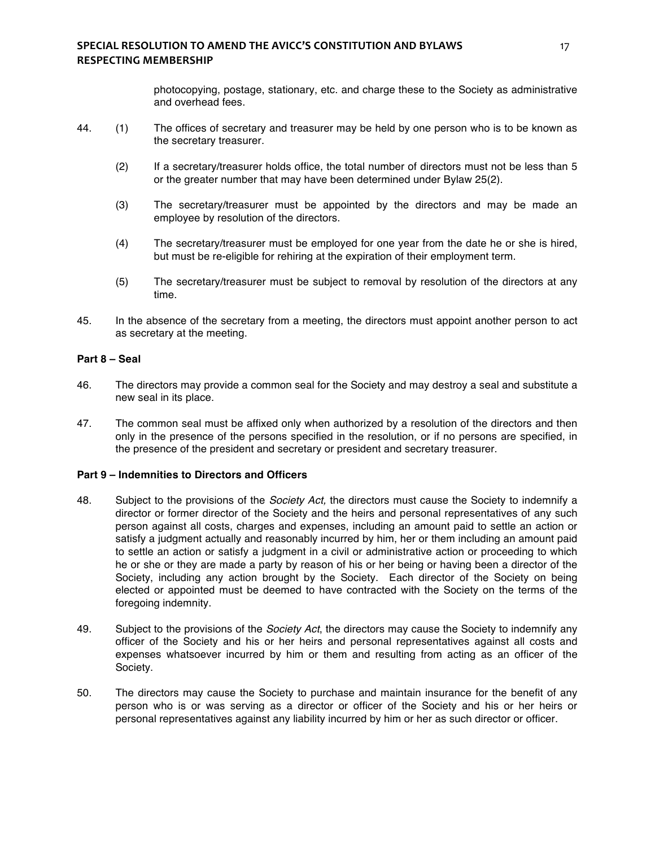photocopying, postage, stationary, etc. and charge these to the Society as administrative and overhead fees.

- 44. (1) The offices of secretary and treasurer may be held by one person who is to be known as the secretary treasurer.
	- (2) If a secretary/treasurer holds office, the total number of directors must not be less than 5 or the greater number that may have been determined under Bylaw 25(2).
	- (3) The secretary/treasurer must be appointed by the directors and may be made an employee by resolution of the directors.
	- (4) The secretary/treasurer must be employed for one year from the date he or she is hired, but must be re-eligible for rehiring at the expiration of their employment term.
	- (5) The secretary/treasurer must be subject to removal by resolution of the directors at any time.
- 45. In the absence of the secretary from a meeting, the directors must appoint another person to act as secretary at the meeting.

### **Part 8 – Seal**

- 46. The directors may provide a common seal for the Society and may destroy a seal and substitute a new seal in its place.
- 47. The common seal must be affixed only when authorized by a resolution of the directors and then only in the presence of the persons specified in the resolution, or if no persons are specified, in the presence of the president and secretary or president and secretary treasurer.

### **Part 9 – Indemnities to Directors and Officers**

- 48. Subject to the provisions of the *Society Act,* the directors must cause the Society to indemnify a director or former director of the Society and the heirs and personal representatives of any such person against all costs, charges and expenses, including an amount paid to settle an action or satisfy a judgment actually and reasonably incurred by him, her or them including an amount paid to settle an action or satisfy a judgment in a civil or administrative action or proceeding to which he or she or they are made a party by reason of his or her being or having been a director of the Society, including any action brought by the Society. Each director of the Society on being elected or appointed must be deemed to have contracted with the Society on the terms of the foregoing indemnity.
- 49. Subject to the provisions of the *Society Act*, the directors may cause the Society to indemnify any officer of the Society and his or her heirs and personal representatives against all costs and expenses whatsoever incurred by him or them and resulting from acting as an officer of the Society.
- 50. The directors may cause the Society to purchase and maintain insurance for the benefit of any person who is or was serving as a director or officer of the Society and his or her heirs or personal representatives against any liability incurred by him or her as such director or officer.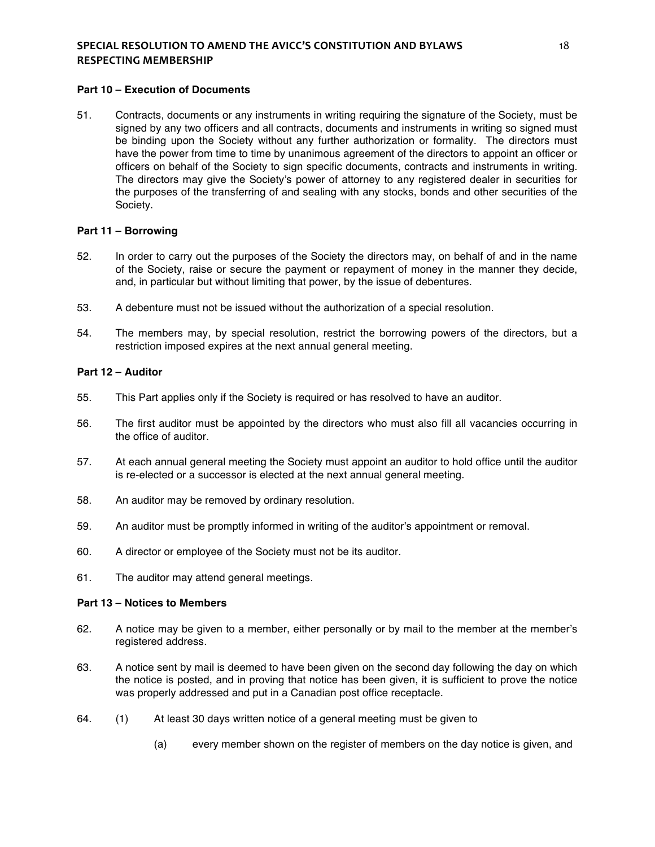# **SPECIAL RESOLUTION TO AMEND THE AVICC'S CONSTITUTION AND BYLAWS**  $18$ **RESPECTING MEMBERSHIP**

### **Part 10 – Execution of Documents**

51. Contracts, documents or any instruments in writing requiring the signature of the Society, must be signed by any two officers and all contracts, documents and instruments in writing so signed must be binding upon the Society without any further authorization or formality. The directors must have the power from time to time by unanimous agreement of the directors to appoint an officer or officers on behalf of the Society to sign specific documents, contracts and instruments in writing. The directors may give the Society's power of attorney to any registered dealer in securities for the purposes of the transferring of and sealing with any stocks, bonds and other securities of the Society.

#### **Part 11 – Borrowing**

- 52. In order to carry out the purposes of the Society the directors may, on behalf of and in the name of the Society, raise or secure the payment or repayment of money in the manner they decide, and, in particular but without limiting that power, by the issue of debentures.
- 53. A debenture must not be issued without the authorization of a special resolution.
- 54. The members may, by special resolution, restrict the borrowing powers of the directors, but a restriction imposed expires at the next annual general meeting.

### **Part 12 – Auditor**

- 55. This Part applies only if the Society is required or has resolved to have an auditor.
- 56. The first auditor must be appointed by the directors who must also fill all vacancies occurring in the office of auditor.
- 57. At each annual general meeting the Society must appoint an auditor to hold office until the auditor is re-elected or a successor is elected at the next annual general meeting.
- 58. An auditor may be removed by ordinary resolution.
- 59. An auditor must be promptly informed in writing of the auditor's appointment or removal.
- 60. A director or employee of the Society must not be its auditor.
- 61. The auditor may attend general meetings.

#### **Part 13 – Notices to Members**

- 62. A notice may be given to a member, either personally or by mail to the member at the member's registered address.
- 63. A notice sent by mail is deemed to have been given on the second day following the day on which the notice is posted, and in proving that notice has been given, it is sufficient to prove the notice was properly addressed and put in a Canadian post office receptacle.
- 64. (1) At least 30 days written notice of a general meeting must be given to
	- (a) every member shown on the register of members on the day notice is given, and